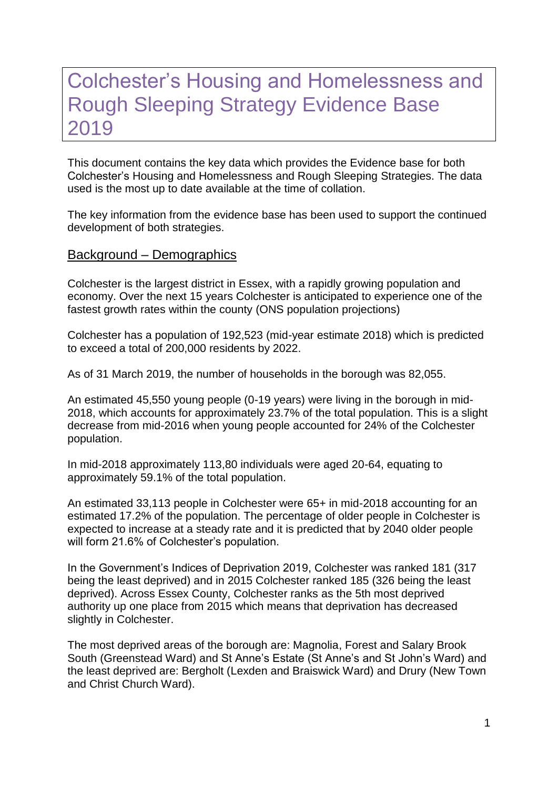# Colchester's Housing and Homelessness and Rough Sleeping Strategy Evidence Base 2019

This document contains the key data which provides the Evidence base for both Colchester's Housing and Homelessness and Rough Sleeping Strategies. The data used is the most up to date available at the time of collation.

The key information from the evidence base has been used to support the continued development of both strategies.

#### Background – Demographics

Colchester is the largest district in Essex, with a rapidly growing population and economy. Over the next 15 years Colchester is anticipated to experience one of the fastest growth rates within the county (ONS population projections)

Colchester has a population of 192,523 (mid-year estimate 2018) which is predicted to exceed a total of 200,000 residents by 2022.

As of 31 March 2019, the number of households in the borough was 82,055.

An estimated 45,550 young people (0-19 years) were living in the borough in mid-2018, which accounts for approximately 23.7% of the total population. This is a slight decrease from mid-2016 when young people accounted for 24% of the Colchester population.

In mid-2018 approximately 113,80 individuals were aged 20-64, equating to approximately 59.1% of the total population.

An estimated 33,113 people in Colchester were 65+ in mid-2018 accounting for an estimated 17.2% of the population. The percentage of older people in Colchester is expected to increase at a steady rate and it is predicted that by 2040 older people will form 21.6% of Colchester's population.

In the Government's Indices of Deprivation 2019, Colchester was ranked 181 (317 being the least deprived) and in 2015 Colchester ranked 185 (326 being the least deprived). Across Essex County, Colchester ranks as the 5th most deprived authority up one place from 2015 which means that deprivation has decreased slightly in Colchester.

The most deprived areas of the borough are: Magnolia, Forest and Salary Brook South (Greenstead Ward) and St Anne's Estate (St Anne's and St John's Ward) and the least deprived are: Bergholt (Lexden and Braiswick Ward) and Drury (New Town and Christ Church Ward).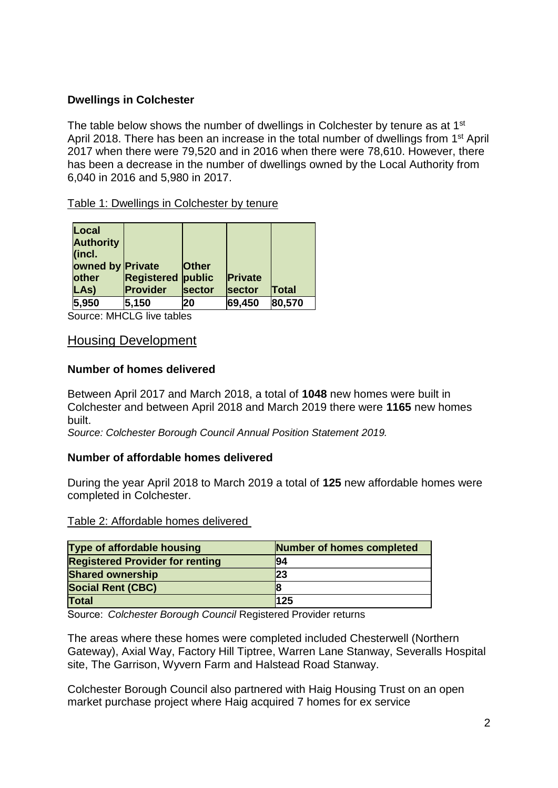#### **Dwellings in Colchester**

The table below shows the number of dwellings in Colchester by tenure as at  $1<sup>st</sup>$ April 2018. There has been an increase in the total number of dwellings from 1st April 2017 when there were 79,520 and in 2016 when there were 78,610. However, there has been a decrease in the number of dwellings owned by the Local Authority from 6,040 in 2016 and 5,980 in 2017.

Table 1: Dwellings in Colchester by tenure

| Local<br><b>Authority</b><br>(incl.<br>owned by Private<br>other | <b>Registered public</b> | <b>Other</b> | Private |        |
|------------------------------------------------------------------|--------------------------|--------------|---------|--------|
|                                                                  |                          |              |         |        |
| LAs)                                                             | Provider                 | sector       | sector  | Total  |
| 5,950                                                            | 5,150                    | 20           | 69,450  | 80,570 |

Source: MHCLG live tables

#### Housing Development

#### **Number of homes delivered**

Between April 2017 and March 2018, a total of **1048** new homes were built in Colchester and between April 2018 and March 2019 there were **1165** new homes built.

*Source: Colchester Borough Council Annual Position Statement 2019.*

#### **Number of affordable homes delivered**

During the year April 2018 to March 2019 a total of **125** new affordable homes were completed in Colchester.

Table 2: Affordable homes delivered

| <b>Type of affordable housing</b>      | Number of homes completed |
|----------------------------------------|---------------------------|
| <b>Registered Provider for renting</b> | 94                        |
| <b>Shared ownership</b>                | 23                        |
| <b>Social Rent (CBC)</b>               |                           |
| <b>Total</b>                           | 125                       |

Source:  *Colchester Borough Council* Registered Provider returns

The areas where these homes were completed included Chesterwell (Northern Gateway), Axial Way, Factory Hill Tiptree, Warren Lane Stanway, Severalls Hospital site, The Garrison, Wyvern Farm and Halstead Road Stanway.

Colchester Borough Council also partnered with Haig Housing Trust on an open market purchase project where Haig acquired 7 homes for ex service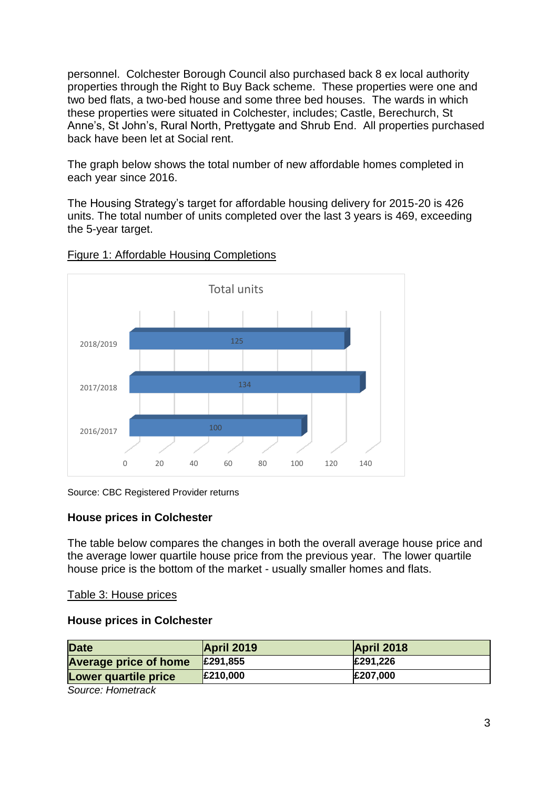personnel. Colchester Borough Council also purchased back 8 ex local authority properties through the Right to Buy Back scheme. These properties were one and two bed flats, a two-bed house and some three bed houses. The wards in which these properties were situated in Colchester, includes; Castle, Berechurch, St Anne's, St John's, Rural North, Prettygate and Shrub End. All properties purchased back have been let at Social rent.

The graph below shows the total number of new affordable homes completed in each year since 2016.

The Housing Strategy's target for affordable housing delivery for 2015-20 is 426 units. The total number of units completed over the last 3 years is 469, exceeding the 5-year target.



#### Figure 1: Affordable Housing Completions

Source: CBC Registered Provider returns

#### **House prices in Colchester**

The table below compares the changes in both the overall average house price and the average lower quartile house price from the previous year. The lower quartile house price is the bottom of the market - usually smaller homes and flats.

#### Table 3: House prices

#### **House prices in Colchester**

| <b>Date</b>                  | <b>April 2019</b> | <b>April 2018</b> |
|------------------------------|-------------------|-------------------|
| <b>Average price of home</b> | £291,855          | £291,226          |
| Lower quartile price         | £210,000          | E207,000          |

*Source: Hometrack*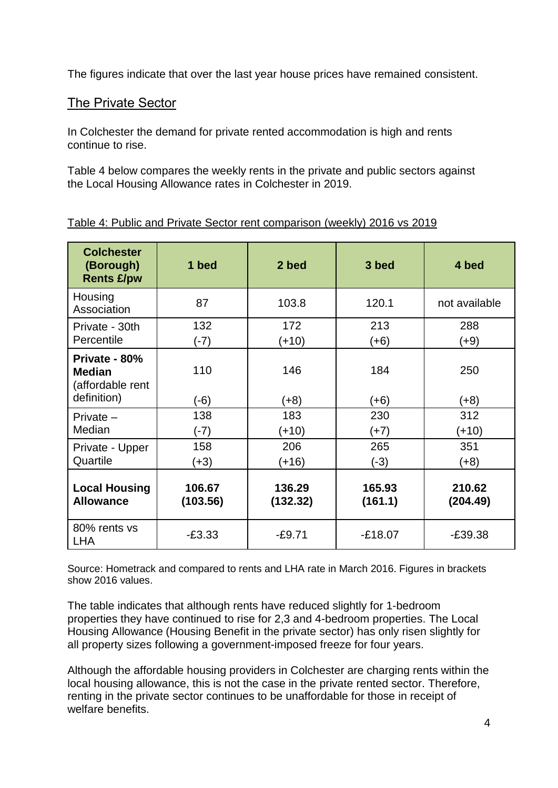The figures indicate that over the last year house prices have remained consistent.

## The Private Sector

In Colchester the demand for private rented accommodation is high and rents continue to rise.

Table 4 below compares the weekly rents in the private and public sectors against the Local Housing Allowance rates in Colchester in 2019.

| <b>Colchester</b><br>(Borough)<br><b>Rents £/pw</b> | 1 bed              | 2 bed              | 3 bed             | 4 bed              |
|-----------------------------------------------------|--------------------|--------------------|-------------------|--------------------|
| Housing<br>Association                              | 87                 | 103.8              | 120.1             | not available      |
| Private - 30th<br>Percentile                        | 132<br>$(-7)$      | 172<br>$(+10)$     | 213<br>(+6)       | 288<br>$(+9)$      |
| Private - 80%<br><b>Median</b><br>(affordable rent  | 110                | 146                | 184               | 250                |
| definition)                                         | $(-6)$             | $(+8)$             | (+6)              | $(+8)$             |
| Private $-$                                         | 138                | 183                | 230               | 312                |
| Median                                              | (-7)               | $(+10)$            | $(+7)$            | (+10)              |
| Private - Upper                                     | 158                | 206                | 265               | 351                |
| Quartile                                            | (+3)               | (+16)              | $(-3)$            | $(+8)$             |
| <b>Local Housing</b><br><b>Allowance</b>            | 106.67<br>(103.56) | 136.29<br>(132.32) | 165.93<br>(161.1) | 210.62<br>(204.49) |
| 80% rents vs<br><b>LHA</b>                          | $-E3.33$           | $-£9.71$           | $-£18.07$         | $-E39.38$          |

#### Table 4: Public and Private Sector rent comparison (weekly) 2016 vs 2019

Source: Hometrack and compared to rents and LHA rate in March 2016. Figures in brackets show 2016 values.

The table indicates that although rents have reduced slightly for 1-bedroom properties they have continued to rise for 2,3 and 4-bedroom properties. The Local Housing Allowance (Housing Benefit in the private sector) has only risen slightly for all property sizes following a government-imposed freeze for four years.

Although the affordable housing providers in Colchester are charging rents within the local housing allowance, this is not the case in the private rented sector. Therefore, renting in the private sector continues to be unaffordable for those in receipt of welfare benefits.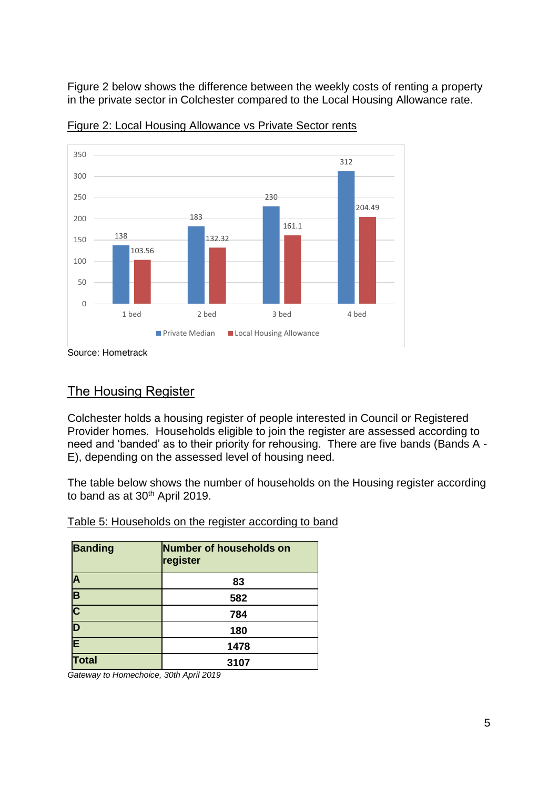Figure 2 below shows the difference between the weekly costs of renting a property in the private sector in Colchester compared to the Local Housing Allowance rate.



Figure 2: Local Housing Allowance vs Private Sector rents

Source: Hometrack

# The Housing Register

Colchester holds a housing register of people interested in Council or Registered Provider homes. Households eligible to join the register are assessed according to need and 'banded' as to their priority for rehousing. There are five bands (Bands A - E), depending on the assessed level of housing need.

The table below shows the number of households on the Housing register according to band as at 30<sup>th</sup> April 2019.

Table 5: Households on the register according to band

| <b>Banding</b>          | Number of households on<br>register |
|-------------------------|-------------------------------------|
| Α                       | 83                                  |
| B                       | 582                                 |
| $\overline{\mathbf{c}}$ | 784                                 |
| D                       | 180                                 |
| E                       | 1478                                |
| <b>Total</b>            | 3107                                |

*Gateway to Homechoice, 30th April 2019*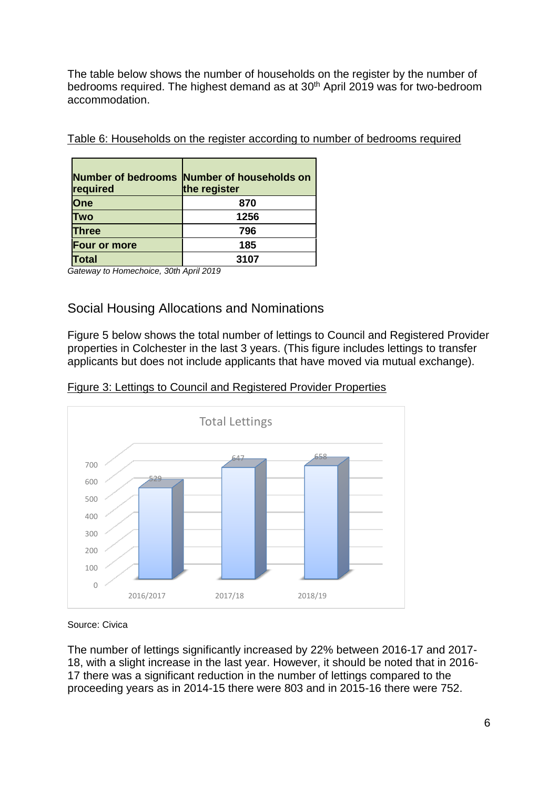The table below shows the number of households on the register by the number of bedrooms required. The highest demand as at 30<sup>th</sup> April 2019 was for two-bedroom accommodation.

| required            | Number of bedrooms Number of households on<br>the register |
|---------------------|------------------------------------------------------------|
| One                 | 870                                                        |
| <b>Two</b>          | 1256                                                       |
| <b>Three</b>        | 796                                                        |
| <b>Four or more</b> | 185                                                        |
| <b>Total</b>        | 3107                                                       |

Table 6: Households on the register according to number of bedrooms required

*Gateway to Homechoice, 30th April 2019*

# Social Housing Allocations and Nominations

Figure 5 below shows the total number of lettings to Council and Registered Provider properties in Colchester in the last 3 years. (This figure includes lettings to transfer applicants but does not include applicants that have moved via mutual exchange).



#### Figure 3: Lettings to Council and Registered Provider Properties

The number of lettings significantly increased by 22% between 2016-17 and 2017- 18, with a slight increase in the last year. However, it should be noted that in 2016- 17 there was a significant reduction in the number of lettings compared to the proceeding years as in 2014-15 there were 803 and in 2015-16 there were 752.

Source: Civica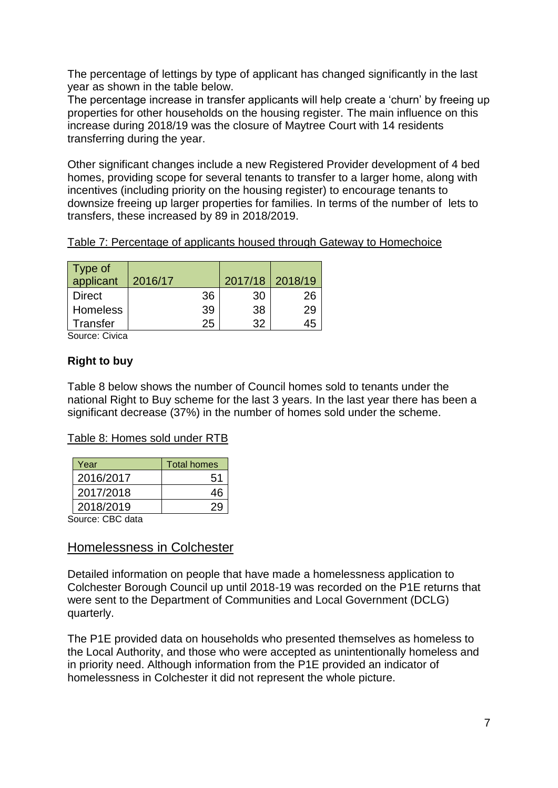The percentage of lettings by type of applicant has changed significantly in the last year as shown in the table below.

The percentage increase in transfer applicants will help create a 'churn' by freeing up properties for other households on the housing register. The main influence on this increase during 2018/19 was the closure of Maytree Court with 14 residents transferring during the year.

Other significant changes include a new Registered Provider development of 4 bed homes, providing scope for several tenants to transfer to a larger home, along with incentives (including priority on the housing register) to encourage tenants to downsize freeing up larger properties for families. In terms of the number of lets to transfers, these increased by 89 in 2018/2019.

#### Table 7: Percentage of applicants housed through Gateway to Homechoice

| Type of<br>applicant | 2016/17 |    | 2017/18 2018/19 |    |
|----------------------|---------|----|-----------------|----|
| <b>Direct</b>        |         | 36 | 30              | 26 |
| Homeless             |         | 39 | 38              | 29 |
| Transfer             |         | 25 | 32              |    |

Source: Civica

## **Right to buy**

Table 8 below shows the number of Council homes sold to tenants under the national Right to Buy scheme for the last 3 years. In the last year there has been a significant decrease (37%) in the number of homes sold under the scheme.

#### Table 8: Homes sold under RTB

| Year      | <b>Total homes</b> |
|-----------|--------------------|
| 2016/2017 | 51                 |
| 2017/2018 | 46                 |
| 2018/2019 |                    |

Source: CBC data

## Homelessness in Colchester

Detailed information on people that have made a homelessness application to Colchester Borough Council up until 2018-19 was recorded on the P1E returns that were sent to the Department of Communities and Local Government (DCLG) quarterly.

The P1E provided data on households who presented themselves as homeless to the Local Authority, and those who were accepted as unintentionally homeless and in priority need. Although information from the P1E provided an indicator of homelessness in Colchester it did not represent the whole picture.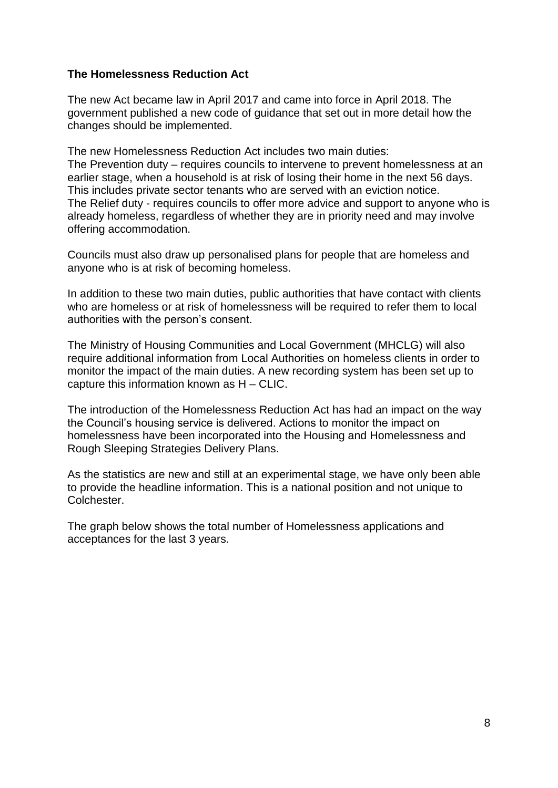#### **The Homelessness Reduction Act**

The new Act became law in April 2017 and came into force in April 2018. The government published a new code of guidance that set out in more detail how the changes should be implemented.

The new Homelessness Reduction Act includes two main duties: The Prevention duty – requires councils to intervene to prevent homelessness at an earlier stage, when a household is at risk of losing their home in the next 56 days. This includes private sector tenants who are served with an eviction notice. The Relief duty - requires councils to offer more advice and support to anyone who is already homeless, regardless of whether they are in priority need and may involve offering accommodation.

Councils must also draw up personalised plans for people that are homeless and anyone who is at risk of becoming homeless.

In addition to these two main duties, public authorities that have contact with clients who are homeless or at risk of homelessness will be required to refer them to local authorities with the person's consent.

The Ministry of Housing Communities and Local Government (MHCLG) will also require additional information from Local Authorities on homeless clients in order to monitor the impact of the main duties. A new recording system has been set up to capture this information known as H – CLIC.

The introduction of the Homelessness Reduction Act has had an impact on the way the Council's housing service is delivered. Actions to monitor the impact on homelessness have been incorporated into the Housing and Homelessness and Rough Sleeping Strategies Delivery Plans.

As the statistics are new and still at an experimental stage, we have only been able to provide the headline information. This is a national position and not unique to Colchester.

The graph below shows the total number of Homelessness applications and acceptances for the last 3 years.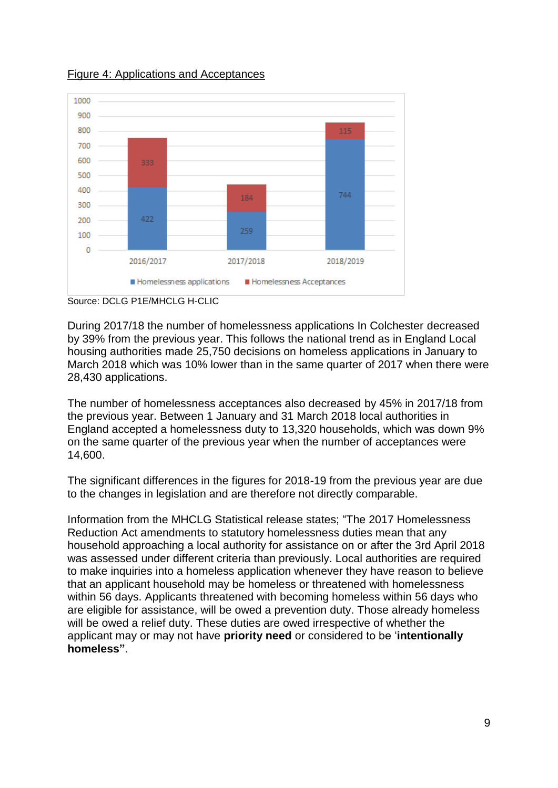

Figure 4: Applications and Acceptances



During 2017/18 the number of homelessness applications In Colchester decreased by 39% from the previous year. This follows the national trend as in England Local housing authorities made 25,750 decisions on homeless applications in January to March 2018 which was 10% lower than in the same quarter of 2017 when there were 28,430 applications.

The number of homelessness acceptances also decreased by 45% in 2017/18 from the previous year. Between 1 January and 31 March 2018 local authorities in England accepted a homelessness duty to 13,320 households, which was down 9% on the same quarter of the previous year when the number of acceptances were 14,600.

The significant differences in the figures for 2018-19 from the previous year are due to the changes in legislation and are therefore not directly comparable.

Information from the MHCLG Statistical release states; "The 2017 Homelessness Reduction Act amendments to statutory homelessness duties mean that any household approaching a local authority for assistance on or after the 3rd April 2018 was assessed under different criteria than previously. Local authorities are required to make inquiries into a homeless application whenever they have reason to believe that an applicant household may be homeless or threatened with homelessness within 56 days. Applicants threatened with becoming homeless within 56 days who are eligible for assistance, will be owed a prevention duty. Those already homeless will be owed a relief duty. These duties are owed irrespective of whether the applicant may or may not have **priority need** or considered to be '**intentionally homeless"**.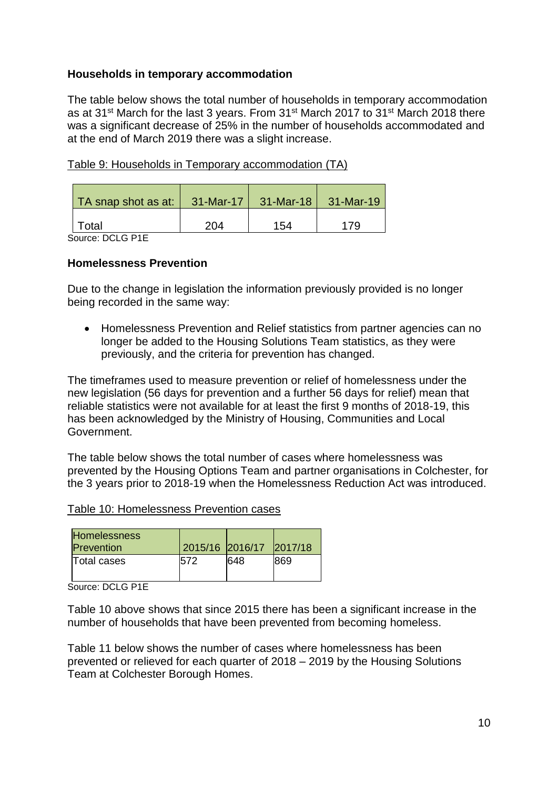#### **Households in temporary accommodation**

The table below shows the total number of households in temporary accommodation as at 31<sup>st</sup> March for the last 3 years. From 31<sup>st</sup> March 2017 to 31<sup>st</sup> March 2018 there was a significant decrease of 25% in the number of households accommodated and at the end of March 2019 there was a slight increase.

|  | Table 9: Households in Temporary accommodation (TA) |  |  |
|--|-----------------------------------------------------|--|--|
|--|-----------------------------------------------------|--|--|

| TA snap shot as at: | $31$ -Mar-17 | 31-Mar-18 | 31-Mar-19 |
|---------------------|--------------|-----------|-----------|
| Гоtal               | 204          | 154       | 79        |

Source: DCLG P1E

#### **Homelessness Prevention**

Due to the change in legislation the information previously provided is no longer being recorded in the same way:

• Homelessness Prevention and Relief statistics from partner agencies can no longer be added to the Housing Solutions Team statistics, as they were previously, and the criteria for prevention has changed.

The timeframes used to measure prevention or relief of homelessness under the new legislation (56 days for prevention and a further 56 days for relief) mean that reliable statistics were not available for at least the first 9 months of 2018-19, this has been acknowledged by the Ministry of Housing, Communities and Local Government.

The table below shows the total number of cases where homelessness was prevented by the Housing Options Team and partner organisations in Colchester, for the 3 years prior to 2018-19 when the Homelessness Reduction Act was introduced.

#### Table 10: Homelessness Prevention cases

| <b>Homelessness</b><br>Prevention | 2015/16   2016/17 |      | 2017/18    |
|-----------------------------------|-------------------|------|------------|
| Total cases                       | 1572              | 1648 | <b>869</b> |

Source: DCLG P1E

Table 10 above shows that since 2015 there has been a significant increase in the number of households that have been prevented from becoming homeless.

Table 11 below shows the number of cases where homelessness has been prevented or relieved for each quarter of 2018 – 2019 by the Housing Solutions Team at Colchester Borough Homes.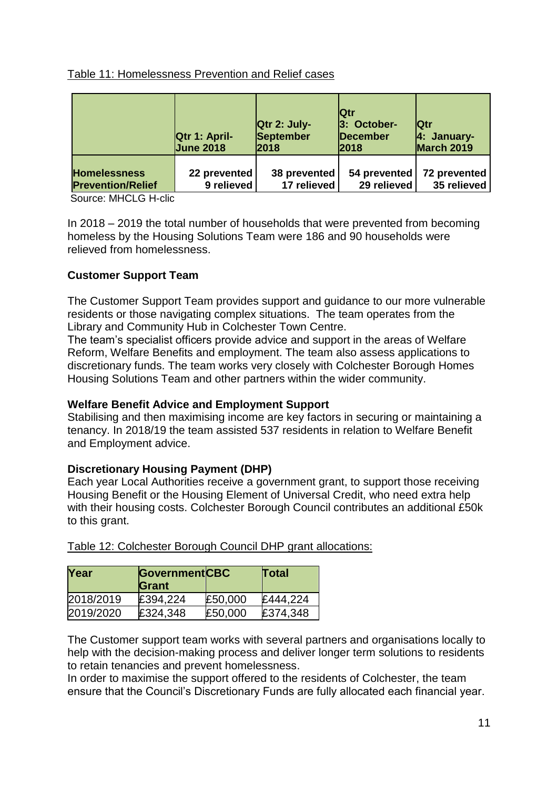#### Table 11: Homelessness Prevention and Relief cases

|                          | Qtr 1: April-<br><b>June 2018</b> | Qtr 2: July-<br>September<br>2018 | <b>IQtr</b><br>3: October-<br><b>December</b><br>2018 | <b>IQtr</b><br>$ 4:$ January-<br><b>March 2019</b> |
|--------------------------|-----------------------------------|-----------------------------------|-------------------------------------------------------|----------------------------------------------------|
| <b>Homelessness</b>      | 22 prevented                      | 38 prevented                      | 54 prevented                                          | 72 prevented                                       |
| <b>Prevention/Relief</b> | 9 relieved                        | 17 relieved                       | 29 relieved                                           | 35 relieved                                        |

Source: MHCLG H-clic

In 2018 – 2019 the total number of households that were prevented from becoming homeless by the Housing Solutions Team were 186 and 90 households were relieved from homelessness.

## **Customer Support Team**

The Customer Support Team provides support and guidance to our more vulnerable residents or those navigating complex situations. The team operates from the Library and Community Hub in Colchester Town Centre.

The team's specialist officers provide advice and support in the areas of Welfare Reform, Welfare Benefits and employment. The team also assess applications to discretionary funds. The team works very closely with Colchester Borough Homes Housing Solutions Team and other partners within the wider community.

#### **Welfare Benefit Advice and Employment Support**

Stabilising and then maximising income are key factors in securing or maintaining a tenancy. In 2018/19 the team assisted 537 residents in relation to Welfare Benefit and Employment advice.

## **Discretionary Housing Payment (DHP)**

Each year Local Authorities receive a government grant, to support those receiving Housing Benefit or the Housing Element of Universal Credit, who need extra help with their housing costs. Colchester Borough Council contributes an additional £50k to this grant.

| Year      | <b>GovernmentCBC</b><br><b>S</b> rant |         | <b>Total</b> |
|-----------|---------------------------------------|---------|--------------|
| 2018/2019 | £394.224                              | £50,000 | £444,224     |
| 2019/2020 | £324,348                              | £50,000 | £374,348     |

Table 12: Colchester Borough Council DHP grant allocations:

The Customer support team works with several partners and organisations locally to help with the decision-making process and deliver longer term solutions to residents to retain tenancies and prevent homelessness.

In order to maximise the support offered to the residents of Colchester, the team ensure that the Council's Discretionary Funds are fully allocated each financial year.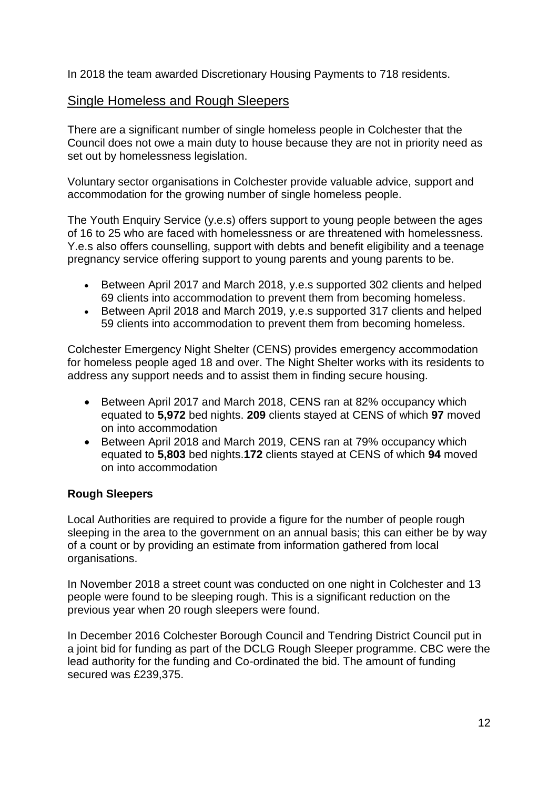In 2018 the team awarded Discretionary Housing Payments to 718 residents.

# Single Homeless and Rough Sleepers

There are a significant number of single homeless people in Colchester that the Council does not owe a main duty to house because they are not in priority need as set out by homelessness legislation.

Voluntary sector organisations in Colchester provide valuable advice, support and accommodation for the growing number of single homeless people.

The Youth Enquiry Service (y.e.s) offers support to young people between the ages of 16 to 25 who are faced with homelessness or are threatened with homelessness. Y.e.s also offers counselling, support with debts and benefit eligibility and a teenage pregnancy service offering support to young parents and young parents to be.

- Between April 2017 and March 2018, y.e.s supported 302 clients and helped 69 clients into accommodation to prevent them from becoming homeless.
- Between April 2018 and March 2019, y.e.s supported 317 clients and helped 59 clients into accommodation to prevent them from becoming homeless.

Colchester Emergency Night Shelter (CENS) provides emergency accommodation for homeless people aged 18 and over. The Night Shelter works with its residents to address any support needs and to assist them in finding secure housing.

- Between April 2017 and March 2018, CENS ran at 82% occupancy which equated to **5,972** bed nights. **209** clients stayed at CENS of which **97** moved on into accommodation
- Between April 2018 and March 2019, CENS ran at 79% occupancy which equated to **5,803** bed nights.**172** clients stayed at CENS of which **94** moved on into accommodation

#### **Rough Sleepers**

Local Authorities are required to provide a figure for the number of people rough sleeping in the area to the government on an annual basis; this can either be by way of a count or by providing an estimate from information gathered from local organisations.

In November 2018 a street count was conducted on one night in Colchester and 13 people were found to be sleeping rough. This is a significant reduction on the previous year when 20 rough sleepers were found.

In December 2016 Colchester Borough Council and Tendring District Council put in a joint bid for funding as part of the DCLG Rough Sleeper programme. CBC were the lead authority for the funding and Co-ordinated the bid. The amount of funding secured was £239,375.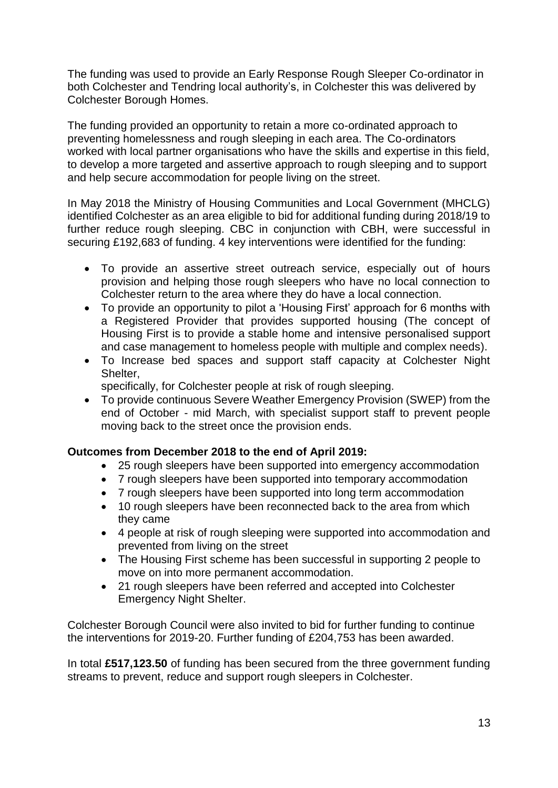The funding was used to provide an Early Response Rough Sleeper Co-ordinator in both Colchester and Tendring local authority's, in Colchester this was delivered by Colchester Borough Homes.

The funding provided an opportunity to retain a more co-ordinated approach to preventing homelessness and rough sleeping in each area. The Co-ordinators worked with local partner organisations who have the skills and expertise in this field. to develop a more targeted and assertive approach to rough sleeping and to support and help secure accommodation for people living on the street.

In May 2018 the Ministry of Housing Communities and Local Government (MHCLG) identified Colchester as an area eligible to bid for additional funding during 2018/19 to further reduce rough sleeping. CBC in conjunction with CBH, were successful in securing £192,683 of funding. 4 key interventions were identified for the funding:

- To provide an assertive street outreach service, especially out of hours provision and helping those rough sleepers who have no local connection to Colchester return to the area where they do have a local connection.
- To provide an opportunity to pilot a 'Housing First' approach for 6 months with a Registered Provider that provides supported housing (The concept of Housing First is to provide a stable home and intensive personalised support and case management to homeless people with multiple and complex needs).
- To Increase bed spaces and support staff capacity at Colchester Night Shelter,

specifically, for Colchester people at risk of rough sleeping.

• To provide continuous Severe Weather Emergency Provision (SWEP) from the end of October - mid March, with specialist support staff to prevent people moving back to the street once the provision ends.

## **Outcomes from December 2018 to the end of April 2019:**

- 25 rough sleepers have been supported into emergency accommodation
- 7 rough sleepers have been supported into temporary accommodation
- 7 rough sleepers have been supported into long term accommodation
- 10 rough sleepers have been reconnected back to the area from which they came
- 4 people at risk of rough sleeping were supported into accommodation and prevented from living on the street
- The Housing First scheme has been successful in supporting 2 people to move on into more permanent accommodation.
- 21 rough sleepers have been referred and accepted into Colchester Emergency Night Shelter.

Colchester Borough Council were also invited to bid for further funding to continue the interventions for 2019-20. Further funding of £204,753 has been awarded.

In total **£517,123.50** of funding has been secured from the three government funding streams to prevent, reduce and support rough sleepers in Colchester.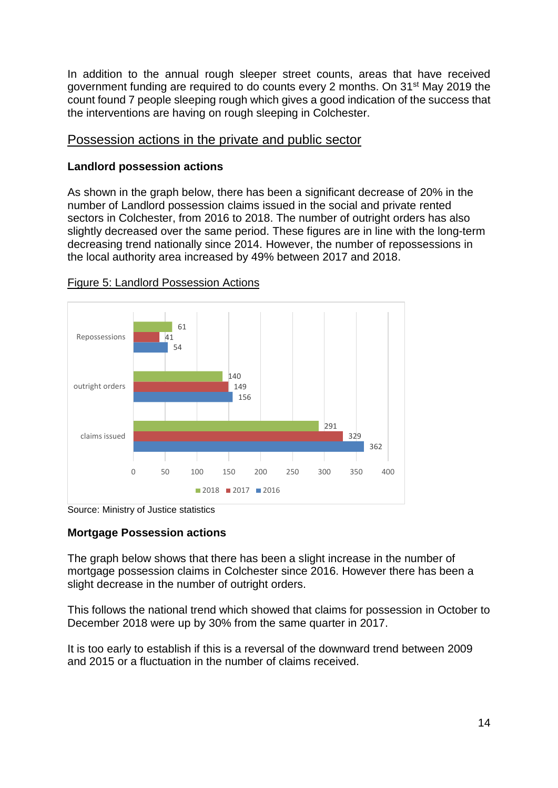In addition to the annual rough sleeper street counts, areas that have received government funding are required to do counts every 2 months. On 31st May 2019 the count found 7 people sleeping rough which gives a good indication of the success that the interventions are having on rough sleeping in Colchester.

## Possession actions in the private and public sector

#### **Landlord possession actions**

As shown in the graph below, there has been a significant decrease of 20% in the number of Landlord possession claims issued in the social and private rented sectors in Colchester, from 2016 to 2018. The number of outright orders has also slightly decreased over the same period. These figures are in line with the long-term decreasing trend nationally since 2014. However, the number of repossessions in the local authority area increased by 49% between 2017 and 2018.



Figure 5: Landlord Possession Actions

Source: Ministry of Justice statistics

## **Mortgage Possession actions**

The graph below shows that there has been a slight increase in the number of mortgage possession claims in Colchester since 2016. However there has been a slight decrease in the number of outright orders.

This follows the national trend which showed that claims for possession in October to December 2018 were up by 30% from the same quarter in 2017.

It is too early to establish if this is a reversal of the downward trend between 2009 and 2015 or a fluctuation in the number of claims received.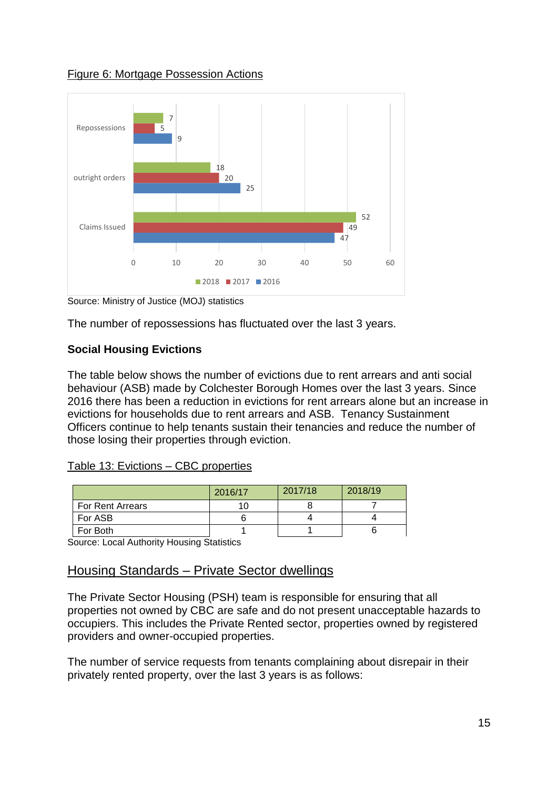



Source: Ministry of Justice (MOJ) statistics

The number of repossessions has fluctuated over the last 3 years.

#### **Social Housing Evictions**

The table below shows the number of evictions due to rent arrears and anti social behaviour (ASB) made by Colchester Borough Homes over the last 3 years. Since 2016 there has been a reduction in evictions for rent arrears alone but an increase in evictions for households due to rent arrears and ASB. Tenancy Sustainment Officers continue to help tenants sustain their tenancies and reduce the number of those losing their properties through eviction.

#### Table 13: Evictions – CBC properties

|                  | 2016/17 | 2017/18 | 2018/19 |
|------------------|---------|---------|---------|
| For Rent Arrears |         |         |         |
| For ASB          |         |         |         |
| For Both         |         |         |         |

Source: Local Authority Housing Statistics

# Housing Standards – Private Sector dwellings

The Private Sector Housing (PSH) team is responsible for ensuring that all properties not owned by CBC are safe and do not present unacceptable hazards to occupiers. This includes the Private Rented sector, properties owned by registered providers and owner-occupied properties.

The number of service requests from tenants complaining about disrepair in their privately rented property, over the last 3 years is as follows: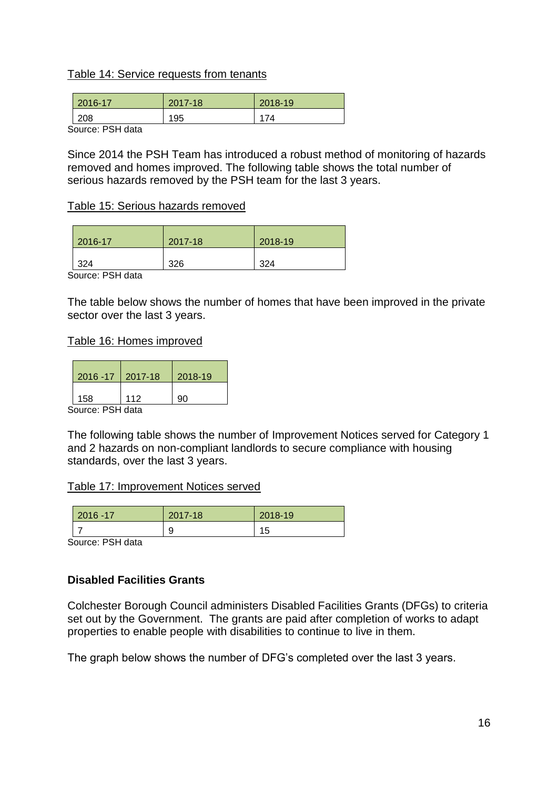#### Table 14: Service requests from tenants

| 2016-17            | $2017 - 18$ | 2018-19 |
|--------------------|-------------|---------|
| 208                | 195         |         |
| Oalisaal DOLL Jata |             |         |

Source: PSH data

Since 2014 the PSH Team has introduced a robust method of monitoring of hazards removed and homes improved. The following table shows the total number of serious hazards removed by the PSH team for the last 3 years.

#### Table 15: Serious hazards removed

| 2016-17 | 2017-18 | 2018-19 |
|---------|---------|---------|
| 324     | 326     | 324     |

Source: PSH data

The table below shows the number of homes that have been improved in the private sector over the last 3 years.

#### Table 16: Homes improved

| 2016 - 17   2017 - 18 |     | 2018-19 |  |
|-----------------------|-----|---------|--|
| 158                   | 112 | 90      |  |
| Cauraa: DC∐ data      |     |         |  |

Source: PSH data

The following table shows the number of Improvement Notices served for Category 1 and 2 hazards on non-compliant landlords to secure compliance with housing standards, over the last 3 years.

#### Table 17: Improvement Notices served

| $2016 - 17$ | 2017-18 | 2018-19        |
|-------------|---------|----------------|
|             |         | $\overline{A}$ |

Source: PSH data

#### **Disabled Facilities Grants**

Colchester Borough Council administers Disabled Facilities Grants (DFGs) to criteria set out by the Government. The grants are paid after completion of works to adapt properties to enable people with disabilities to continue to live in them.

The graph below shows the number of DFG's completed over the last 3 years.